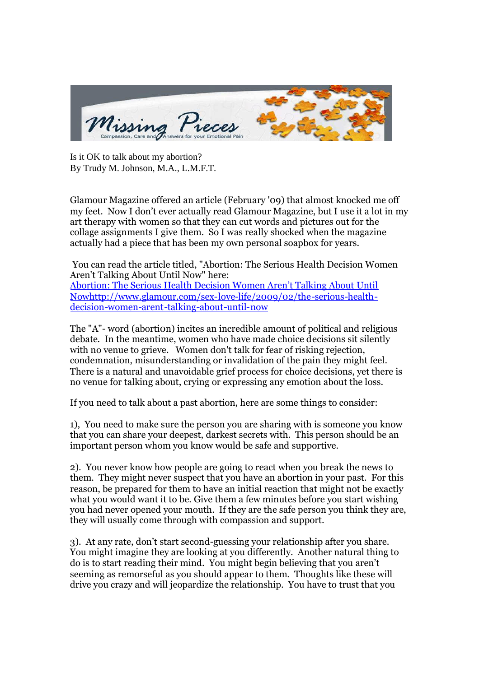

Is it OK to talk about my abortion? By Trudy M. Johnson, M.A., L.M.F.T.

Glamour Magazine offered an article (February '09) that almost knocked me off my feet. Now I don't ever actually read Glamour Magazine, but I use it a lot in my art therapy with women so that they can cut words and pictures out for the collage assignments I give them. So I was really shocked when the magazine actually had a piece that has been my own personal soapbox for years.

You can read the article titled, "Abortion: The Serious Health Decision Women Aren't Talking About Until Now" here:

Abortion: The Serious Health Decision Women Aren't Talking About Until Nowhttp://www.glamour.com/sex-love-life/2009/02/the-serious-healthdecision-women-arent-talking-about-until-now

The "A"- word (abortion) incites an incredible amount of political and religious debate. In the meantime, women who have made choice decisions sit silently with no venue to grieve. Women don't talk for fear of risking rejection, condemnation, misunderstanding or invalidation of the pain they might feel. There is a natural and unavoidable grief process for choice decisions, yet there is no venue for talking about, crying or expressing any emotion about the loss.

If you need to talk about a past abortion, here are some things to consider:

1), You need to make sure the person you are sharing with is someone you know that you can share your deepest, darkest secrets with. This person should be an important person whom you know would be safe and supportive.

2). You never know how people are going to react when you break the news to them. They might never suspect that you have an abortion in your past. For this reason, be prepared for them to have an initial reaction that might not be exactly what you would want it to be. Give them a few minutes before you start wishing you had never opened your mouth. If they are the safe person you think they are, they will usually come through with compassion and support.

3). At any rate, don't start second-guessing your relationship after you share. You might imagine they are looking at you differently. Another natural thing to do is to start reading their mind. You might begin believing that you aren't seeming as remorseful as you should appear to them. Thoughts like these will drive you crazy and will jeopardize the relationship. You have to trust that you